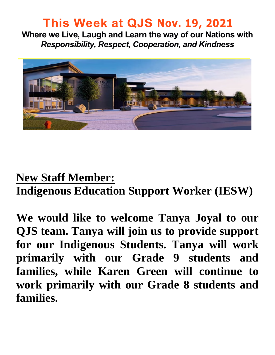### **This Week at QJS Nov. 19, 2021**

**Where we Live, Laugh and Learn the way of our Nations with**  *Responsibility, Respect, Cooperation, and Kindness* 



### **New Staff Member:**

**Indigenous Education Support Worker (IESW)** 

**We would like to welcome Tanya Joyal to our QJS team. Tanya will join us to provide support for our Indigenous Students. Tanya will work primarily with our Grade 9 students and families, while Karen Green will continue to work primarily with our Grade 8 students and families.**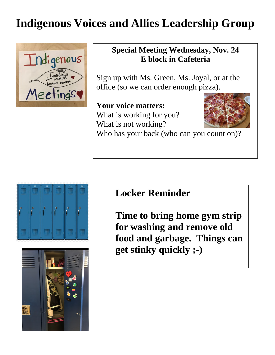# **Indigenous Voices and Allies Leadership Group**



#### **Special Meeting Wednesday, Nov. 24 E block in Cafeteria**

Sign up with Ms. Green, Ms. Joyal, or at the office (so we can order enough pizza).

**Your voice matters:**  What is working for you? What is not working?



Who has your back (who can you count on)?





### **Locker Reminder**

**Time to bring home gym strip for washing and remove old food and garbage. Things can get stinky quickly ;-)**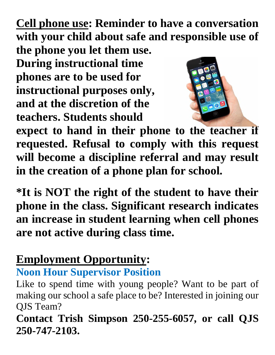**Cell phone use: Reminder to have a conversation with your child about safe and responsible use of** 

**the phone you let them use. During instructional time phones are to be used for instructional purposes only, and at the discretion of the teachers. Students should** 



**expect to hand in their phone to the teacher if requested. Refusal to comply with this request will become a discipline referral and may result in the creation of a phone plan for school.** 

**\*It is NOT the right of the student to have their phone in the class. Significant research indicates an increase in student learning when cell phones are not active during class time.** 

# **Employment Opportunity:**

### **Noon Hour Supervisor Position**

Like to spend time with young people? Want to be part of making our school a safe place to be? Interested in joining our QJS Team?

**Contact Trish Simpson 250-255-6057, or call QJS 250-747-2103.**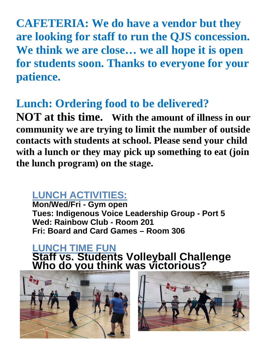**CAFETERIA: We do have a vendor but they are looking for staff to run the QJS concession. We think we are close… we all hope it is open for students soon. Thanks to everyone for your patience.** 

## **Lunch: Ordering food to be delivered?**

**NOT at this time. With the amount of illness in our community we are trying to limit the number of outside contacts with students at school. Please send your child with a lunch or they may pick up something to eat (join the lunch program) on the stage.** 

### **LUNCH ACTIVITIES:**

**Mon/Wed/Fri - Gym open Tues: Indigenous Voice Leadership Group - Port 5 Wed: Rainbow Club - Room 201 Fri: Board and Card Games – Room 306** 

#### **LUNCH TIME FUN Staff vs. Students Volleyball Challenge Who do you think was victorious?**



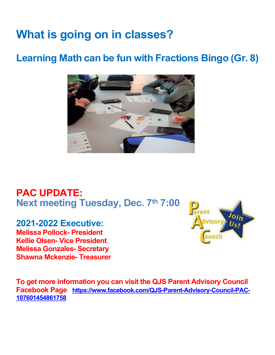# **What is going on in classes?**

### **Learning Math can be fun with Fractions Bingo (Gr. 8)**



### **PAC UPDATE: Next meeting Tuesday, Dec. 7th 7:00**

#### **2021-2022 Executive:**

**Melissa Pollock- President Kellie Olsen- Vice President Melissa Gonzales- Secretary Shawna Mckenzie- Treasurer** 



**To get more information you can visit the QJS Parent Advisory Council Facebook Page [https://www.facebook.com/QJS-Parent-Advisory-Council-PAC-](https://www.facebook.com/QJS-Parent-Advisory-Council-PAC-107601454861758)[107601454861758](https://www.facebook.com/QJS-Parent-Advisory-Council-PAC-107601454861758)**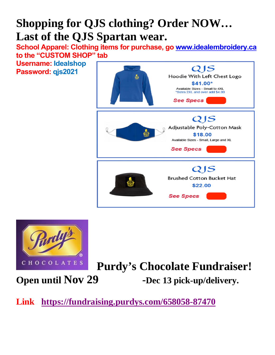# **Shopping for QJS clothing? Order NOW… Last of the QJS Spartan wear.**

**School Apparel: Clothing items for purchase, go [www.idealembroidery.ca](http://www.idealembroidery.ca/) to the "CUSTOM SHOP" tab** 

**Username: Idealshop Password: qjs2021**





### **Purdy's Chocolate Fundraiser! Open until Nov 29 -Dec 13 pick-up/delivery.**

### **Link <https://fundraising.purdys.com/658058-87470>**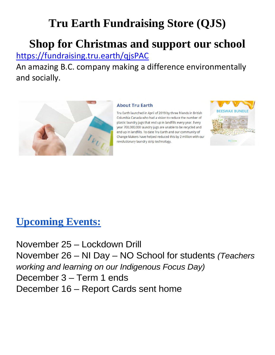# **Tru Earth Fundraising Store (QJS)**

# **Shop for Christmas and support our school**

<https://fundraising.tru.earth/qjsPAC>

An amazing B.C. company making a difference environmentally and socially.



#### **About Tru Earth**

Tru Earth launched in April of 2019 by three friends in British Columbia Canada who had a vision to reduce the number of plastic laundry jugs that end up in landfills every year. Every year 700,000,000 laundry jugs are unable to be recycled and end up in landfills. To date Tru Earth and our community of Change Makers have helped reduced this by 2 million with our revolutionary laundry strip technology.



### **Upcoming Events:**

November 25 – Lockdown Drill November 26 – NI Day – NO School for students *(Teachers working and learning on our Indigenous Focus Day)* December 3 – Term 1 ends December 16 – Report Cards sent home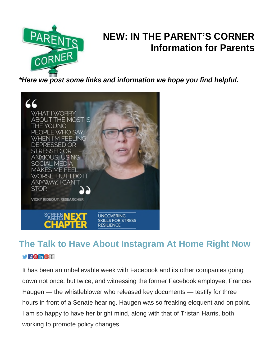

### **NEW: IN THE PARENT'S CORNER Information for Parents**

*\*Here we post some links and information we hope you find helpful.* 



### **The Talk to Have About Instagram At Home Right Now VIFONGT**

It has been an unbelievable week with Facebook and its other companies going down not once, but twice, and witnessing the former Facebook employee, Frances Haugen — the whistleblower who released key documents — testify for three hours in front of a Senate hearing. Haugen was so freaking eloquent and on point. I am so happy to have her bright mind, along with that of Tristan Harris, both working to promote policy changes.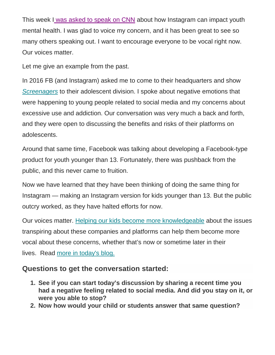This week [I was asked to speak on CNN](https://screenagersmovie.us12.list-manage.com/track/click?u=836fba7e80cfddf96ec96c454&id=7e1048eacf&e=e21bafb256) about how Instagram can impact youth mental health. I was glad to voice my concern, and it has been great to see so many others speaking out. I want to encourage everyone to be vocal right now. Our voices matter.

Let me give an example from the past.

In 2016 FB (and Instagram) asked me to come to their headquarters and show *[Screenagers](https://screenagersmovie.us12.list-manage.com/track/click?u=836fba7e80cfddf96ec96c454&id=e9b86b9dd3&e=e21bafb256)* to their adolescent division. I spoke about negative emotions that were happening to young people related to social media and my concerns about excessive use and addiction. Our conversation was very much a back and forth, and they were open to discussing the benefits and risks of their platforms on adolescents.

Around that same time, Facebook was talking about developing a Facebook-type product for youth younger than 13. Fortunately, there was pushback from the public, and this never came to fruition.

Now we have learned that they have been thinking of doing the same thing for Instagram — making an Instagram version for kids younger than 13. But the public outcry worked, as they have halted efforts for now.

Our voices matter. [Helping our kids become more knowledgeable](https://screenagersmovie.us12.list-manage.com/track/click?u=836fba7e80cfddf96ec96c454&id=e75ab35128&e=e21bafb256) about the issues transpiring about these companies and platforms can help them become more vocal about these concerns, whether that's now or sometime later in their lives. Read [more in today's blog.](https://screenagersmovie.us12.list-manage.com/track/click?u=836fba7e80cfddf96ec96c454&id=daa49518e4&e=e21bafb256)

#### **Questions to get the conversation started:**

- **1. See if you can start today's discussion by sharing a recent time you had a negative feeling related to social media. And did you stay on it, or were you able to stop?**
- **2. Now how would your child or students answer that same question?**